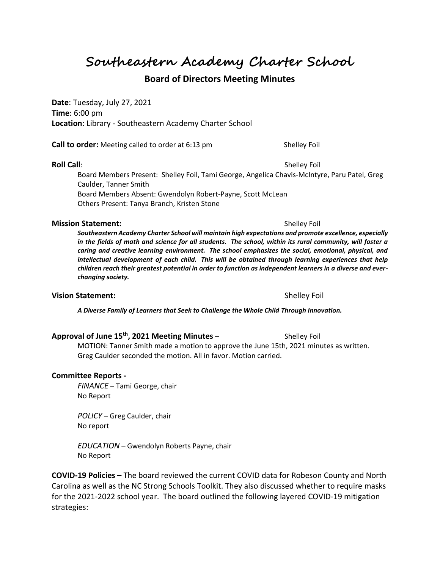**Southeastern Academy Charter School**

# **Board of Directors Meeting Minutes**

**Date**: Tuesday, July 27, 2021 **Time**: 6:00 pm **Location**: Library - Southeastern Academy Charter School

**Call to order:** Meeting called to order at 6:13 pm Shelley Foil

Board Members Present: Shelley Foil, Tami George, Angelica Chavis-McIntyre, Paru Patel, Greg Caulder, Tanner Smith Board Members Absent: Gwendolyn Robert-Payne, Scott McLean Others Present: Tanya Branch, Kristen Stone

### **Mission Statement:**  $\qquad \qquad$  Shelley Foil

*Southeastern Academy Charter School will maintain high expectations and promote excellence, especially in the fields of math and science for all students. The school, within its rural community, will foster a caring and creative learning environment. The school emphasizes the social, emotional, physical, and intellectual development of each child. This will be obtained through learning experiences that help children reach their greatest potential in order to function as independent learners in a diverse and everchanging society.*

## **Vision Statement:**  $\qquad \qquad$  Shelley Foil

*A Diverse Family of Learners that Seek to Challenge the Whole Child Through Innovation.*

## **Approval of June 15th, 2021 Meeting Minutes** – Shelley Foil

MOTION: Tanner Smith made a motion to approve the June 15th, 2021 minutes as written. Greg Caulder seconded the motion. All in favor. Motion carried.

### **Committee Reports -**

*FINANCE* – Tami George, chair No Report

*POLICY* – Greg Caulder, chair No report

*EDUCATION* – Gwendolyn Roberts Payne, chair No Report

**COVID-19 Policies –** The board reviewed the current COVID data for Robeson County and North Carolina as well as the NC Strong Schools Toolkit. They also discussed whether to require masks for the 2021-2022 school year. The board outlined the following layered COVID-19 mitigation strategies:

**Roll Call**: Shelley Foil